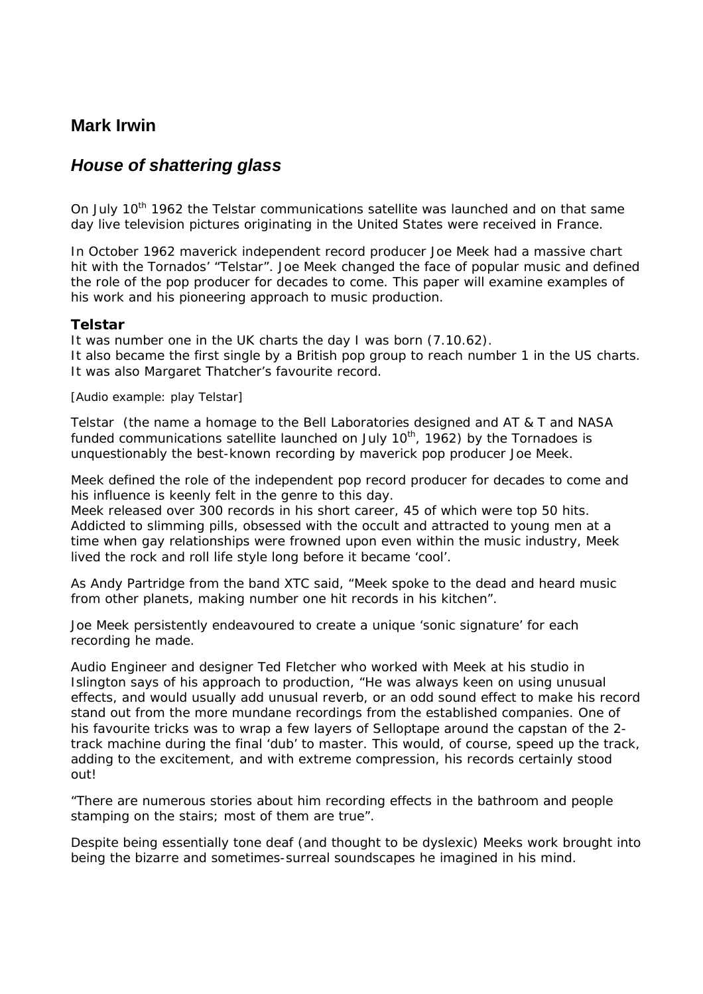## **Mark Irwin**

# *House of shattering glass*

On July 10<sup>th</sup> 1962 the Telstar communications satellite was launched and on that same day live television pictures originating in the United States were received in France.

In October 1962 maverick independent record producer Joe Meek had a massive chart hit with the Tornados' "Telstar". Joe Meek changed the face of popular music and defined the role of the pop producer for decades to come. This paper will examine examples of his work and his pioneering approach to music production.

## *Telstar*

It was number one in the UK charts the day I was born (7.10.62). It also became the first single by a British pop group to reach number 1 in the US charts. It was also Margaret Thatcher's favourite record.

### *[Audio example: play* Telstar*]*

*Telstar* (the name a homage to the Bell Laboratories designed and AT & T and NASA funded communications satellite launched on July  $10<sup>th</sup>$ , 1962) by the Tornadoes is unquestionably the best-known recording by maverick pop producer Joe Meek.

Meek defined the role of the independent pop record producer for decades to come and his influence is keenly felt in the genre to this day.

Meek released over 300 records in his short career, 45 of which were top 50 hits. Addicted to slimming pills, obsessed with the occult and attracted to young men at a time when gay relationships were frowned upon even within the music industry, Meek lived the rock and roll life style long before it became 'cool'.

As Andy Partridge from the band XTC said, *"*Meek spoke to the dead and heard music from other planets, making number one hit records in his kitchen*".*

Joe Meek persistently endeavoured to create a unique 'sonic signature' for each recording he made.

Audio Engineer and designer Ted Fletcher who worked with Meek at his studio in Islington says of his approach to production, "He was always keen on using unusual effects, and would usually add unusual reverb, or an odd sound effect to make his record stand out from the more mundane recordings from the established companies. One of his favourite tricks was to wrap a few layers of Selloptape around the capstan of the 2 track machine during the final 'dub' to master. This would, of course, speed up the track, adding to the excitement, and with extreme compression, his records certainly stood out!

"There are numerous stories about him recording effects in the bathroom and people stamping on the stairs; most of them are true".

Despite being essentially tone deaf (and thought to be dyslexic) Meeks work brought into being the bizarre and sometimes-surreal soundscapes he imagined in his mind.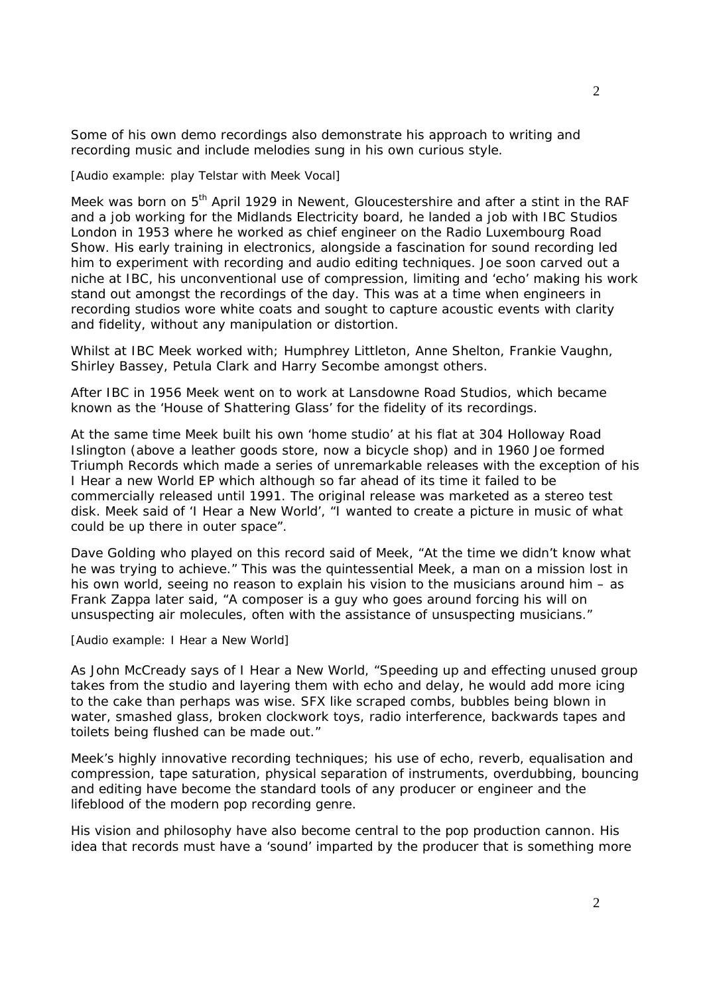Some of his own demo recordings also demonstrate his approach to writing and recording music and include melodies sung in his own curious style.

*[Audio example: play* Telstar *with Meek Vocal]* 

Meek was born on 5<sup>th</sup> April 1929 in Newent, Gloucestershire and after a stint in the RAF and a job working for the Midlands Electricity board, he landed a job with IBC Studios London in 1953 where he worked as chief engineer on the Radio Luxembourg Road Show. His early training in electronics, alongside a fascination for sound recording led him to experiment with recording and audio editing techniques. Joe soon carved out a niche at IBC, his unconventional use of compression, limiting and 'echo' making his work stand out amongst the recordings of the day. This was at a time when engineers in recording studios wore white coats and sought to capture acoustic events with clarity and fidelity, without any manipulation or distortion.

Whilst at IBC Meek worked with; Humphrey Littleton, Anne Shelton, Frankie Vaughn, Shirley Bassey, Petula Clark and Harry Secombe amongst others.

After IBC in 1956 Meek went on to work at Lansdowne Road Studios, which became known as the *'House of Shattering Glass'* for the fidelity of its recordings.

At the same time Meek built his own 'home studio' at his flat at 304 Holloway Road Islington (above a leather goods store, now a bicycle shop) and in 1960 Joe formed Triumph Records which made a series of unremarkable releases with the exception of his *I Hear a new World* EP which although so far ahead of its time it failed to be commercially released until 1991. The original release was marketed as a stereo test disk. Meek said of 'I Hear a New World', "I wanted to create a picture in music of what could be up there in outer space".

Dave Golding who played on this record said of Meek, "At the time we didn't know what he was trying to achieve." This was the quintessential Meek, a man on a mission lost in his own world, seeing no reason to explain his vision to the musicians around him – as Frank Zappa later said, "A composer is a guy who goes around forcing his will on unsuspecting air molecules, often with the assistance of unsuspecting musicians."

*[Audio example:* I Hear a New World*]* 

As John McCready says of *I Hear a New World*, "Speeding up and effecting unused group takes from the studio and layering them with echo and delay, he would add more icing to the cake than perhaps was wise. SFX like scraped combs, bubbles being blown in water, smashed glass, broken clockwork toys, radio interference, backwards tapes and toilets being flushed can be made out."

Meek's highly innovative recording techniques; his use of echo, reverb, equalisation and compression, tape saturation, physical separation of instruments, overdubbing, bouncing and editing have become the standard tools of any producer or engineer and the lifeblood of the modern pop recording genre.

His vision and philosophy have also become central to the pop production cannon. His idea that records must have a 'sound' imparted by the producer that is something more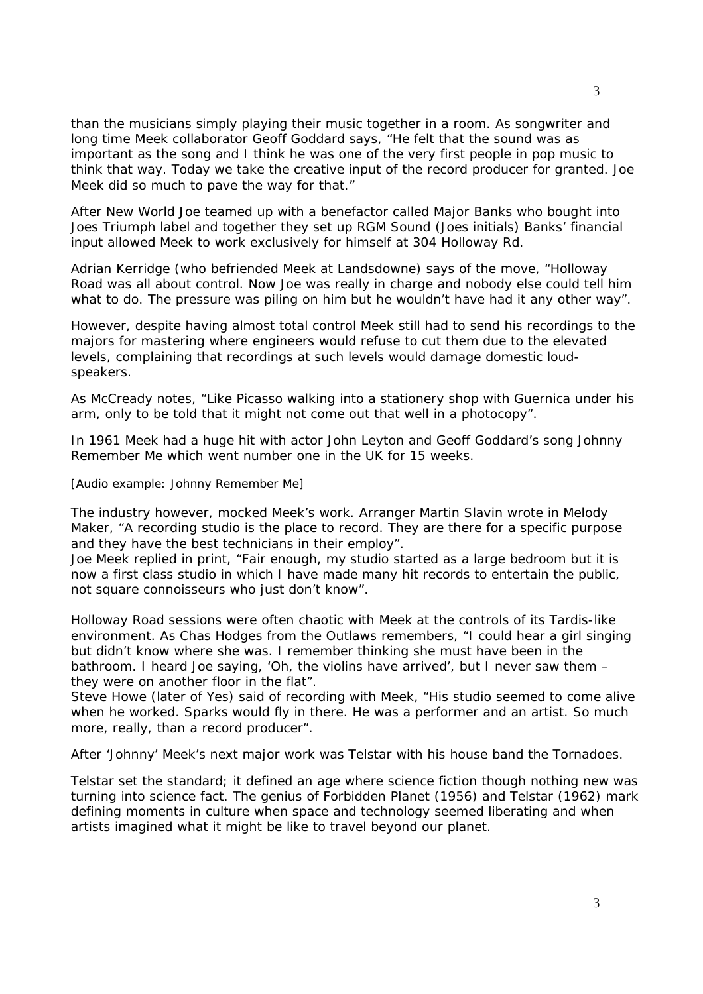than the musicians simply playing their music together in a room. As songwriter and long time Meek collaborator Geoff Goddard says, "He felt that the sound was as important as the song and I think he was one of the very first people in pop music to think that way. Today we take the creative input of the record producer for granted. Joe Meek did so much to pave the way for that."

After *New World* Joe teamed up with a benefactor called Major Banks who bought into Joes Triumph label and together they set up RGM Sound (Joes initials) Banks' financial input allowed Meek to work exclusively for himself at 304 Holloway Rd.

Adrian Kerridge (who befriended Meek at Landsdowne) says of the move, "Holloway Road was all about control. Now Joe was really in charge and nobody else could tell him what to do. The pressure was piling on him but he wouldn't have had it any other way".

However, despite having almost total control Meek still had to send his recordings to the majors for mastering where engineers would refuse to cut them due to the elevated levels, complaining that recordings at such levels would damage domestic loudspeakers.

As McCready notes, "Like Picasso walking into a stationery shop with *Guernica* under his arm, only to be told that it might not come out that well in a photocopy".

In 1961 Meek had a huge hit with actor John Leyton and Geoff Goddard's song *Johnny Remember Me* which went number one in the UK for 15 weeks.

#### *[Audio example:* Johnny Remember Me*]*

The industry however, mocked Meek's work. Arranger Martin Slavin wrote in *Melody Maker*, "A recording studio is the place to record. They are there for a specific purpose and they have the best technicians in their employ".

Joe Meek replied in print, "Fair enough, my studio started as a large bedroom but it is now a first class studio in which I have made many hit records to entertain the public, not square connoisseurs who just don't know".

Holloway Road sessions were often chaotic with Meek at the controls of its Tardis-like environment. As Chas Hodges from the Outlaws remembers, "I could hear a girl singing but didn't know where she was. I remember thinking she must have been in the bathroom. I heard Joe saying, 'Oh, the violins have arrived', but I never saw them – they were on another floor in the flat".

Steve Howe (later of Yes) said of recording with Meek, "His studio seemed to come alive when he worked. Sparks would fly in there. He was a performer and an artist. So much more, really, than a record producer".

After 'Johnny' Meek's next major work was *Telstar* with his house band the *Tornadoes*.

*Telstar* set the standard; it defined an age where science fiction though nothing new was turning into science fact. The genius of *Forbidden Planet (1956)* and *Telstar (1962)* mark defining moments in culture when space and technology seemed liberating and when artists imagined what it might be like to travel beyond our planet.